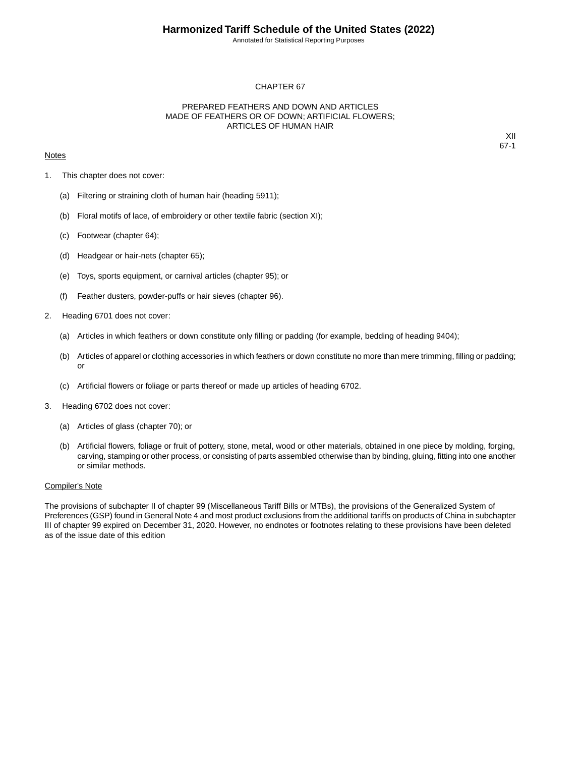Annotated for Statistical Reporting Purposes

## CHAPTER 67

## PREPARED FEATHERS AND DOWN AND ARTICLES MADE OF FEATHERS OR OF DOWN; ARTIFICIAL FLOWERS; ARTICLES OF HUMAN HAIR

### **Notes**

XII 67-1

- 1. This chapter does not cover:
	- (a) Filtering or straining cloth of human hair (heading 5911);
	- (b) Floral motifs of lace, of embroidery or other textile fabric (section XI);
	- (c) Footwear (chapter 64);
	- (d) Headgear or hair-nets (chapter 65);
	- (e) Toys, sports equipment, or carnival articles (chapter 95); or
	- (f) Feather dusters, powder-puffs or hair sieves (chapter 96).
- 2. Heading 6701 does not cover:
	- (a) Articles in which feathers or down constitute only filling or padding (for example, bedding of heading 9404);
	- (b) Articles of apparel or clothing accessories in which feathers or down constitute no more than mere trimming, filling or padding; or
	- (c) Artificial flowers or foliage or parts thereof or made up articles of heading 6702.
- 3. Heading 6702 does not cover:
	- (a) Articles of glass (chapter 70); or
	- (b) Artificial flowers, foliage or fruit of pottery, stone, metal, wood or other materials, obtained in one piece by molding, forging, carving, stamping or other process, or consisting of parts assembled otherwise than by binding, gluing, fitting into one another or similar methods.

#### Compiler's Note

The provisions of subchapter II of chapter 99 (Miscellaneous Tariff Bills or MTBs), the provisions of the Generalized System of Preferences (GSP) found in General Note 4 and most product exclusions from the additional tariffs on products of China in subchapter III of chapter 99 expired on December 31, 2020. However, no endnotes or footnotes relating to these provisions have been deleted as of the issue date of this edition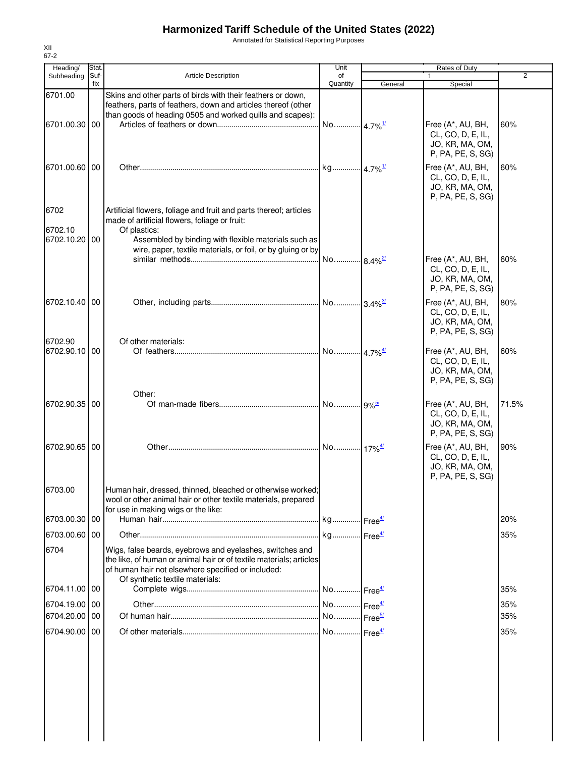# **Harmonized Tariff Schedule of the United States (2022)**

Annotated for Statistical Reporting Purposes

| Heading/              | Stat.       |                                                                                                                                                                                                                          | Unit                  |                       |                                                                                |                |
|-----------------------|-------------|--------------------------------------------------------------------------------------------------------------------------------------------------------------------------------------------------------------------------|-----------------------|-----------------------|--------------------------------------------------------------------------------|----------------|
| Subheading            | Suf-<br>fix | <b>Article Description</b>                                                                                                                                                                                               | of<br>Quantity        | General               | Special                                                                        | $\overline{2}$ |
| 6701.00               |             | Skins and other parts of birds with their feathers or down,<br>feathers, parts of feathers, down and articles thereof (other<br>than goods of heading 0505 and worked quills and scapes):                                |                       |                       |                                                                                |                |
| 6701.00.30 00         |             |                                                                                                                                                                                                                          | No 4.7% <sup>1/</sup> |                       | Free (A*, AU, BH,<br>CL, CO, D, E, IL,<br>JO, KR, MA, OM,<br>P, PA, PE, S, SG) | 60%            |
| 6701.00.60            | 00          |                                                                                                                                                                                                                          |                       |                       | Free (A*, AU, BH,<br>CL, CO, D, E, IL,<br>JO, KR, MA, OM,<br>P, PA, PE, S, SG) | 60%            |
| 6702<br>6702.10       |             | Artificial flowers, foliage and fruit and parts thereof; articles<br>made of artificial flowers, foliage or fruit:                                                                                                       |                       |                       |                                                                                |                |
| 6702.10.20 00         |             | Of plastics:<br>Assembled by binding with flexible materials such as<br>wire, paper, textile materials, or foil, or by gluing or by                                                                                      | No                    | . 8.4% <sup>2/</sup>  | Free (A*, AU, BH,                                                              | 60%            |
|                       |             |                                                                                                                                                                                                                          |                       |                       | CL, CO, D, E, IL,<br>JO, KR, MA, OM,<br>P, PA, PE, S, SG)                      |                |
| 6702.10.40 00         |             |                                                                                                                                                                                                                          |                       |                       | Free (A*, AU, BH,<br>CL, CO, D, E, IL,<br>JO, KR, MA, OM,<br>P, PA, PE, S, SG) | 80%            |
| 6702.90<br>6702.90.10 | 00          | Of other materials:                                                                                                                                                                                                      | No                    | $4.7\%$ <sup>4/</sup> | Free (A*, AU, BH,<br>CL, CO, D, E, IL,<br>JO, KR, MA, OM,<br>P, PA, PE, S, SG) | 60%            |
| 6702.90.35 00         |             | Other:                                                                                                                                                                                                                   |                       |                       | Free (A*, AU, BH,<br>CL, CO, D, E, IL,<br>JO, KR, MA, OM,<br>P, PA, PE, S, SG) | 71.5%          |
| 6702.90.65 00         |             |                                                                                                                                                                                                                          |                       |                       | Free (A*, AU, BH,<br>CL, CO, D, E, IL,<br>JO, KR, MA, OM,<br>P, PA, PE, S, SG) | 90%            |
| 6703.00               |             | Human hair, dressed, thinned, bleached or otherwise worked;<br>wool or other animal hair or other textile materials, prepared<br>for use in making wigs or the like:                                                     |                       |                       |                                                                                |                |
| 6703.00.30            | 00          |                                                                                                                                                                                                                          |                       |                       |                                                                                | 20%            |
| 6703.00.60 00         |             |                                                                                                                                                                                                                          |                       |                       |                                                                                | 35%            |
| 6704                  |             | Wigs, false beards, eyebrows and eyelashes, switches and<br>the like, of human or animal hair or of textile materials; articles<br>of human hair not elsewhere specified or included:<br>Of synthetic textile materials: |                       |                       |                                                                                |                |
| 6704.11.00 00         |             |                                                                                                                                                                                                                          |                       |                       |                                                                                | 35%            |
| 6704.19.00 00         |             |                                                                                                                                                                                                                          |                       |                       |                                                                                | 35%            |
| 6704.20.00 00         |             |                                                                                                                                                                                                                          |                       |                       |                                                                                | 35%            |
| 6704.90.00 00         |             |                                                                                                                                                                                                                          |                       |                       |                                                                                | 35%            |
|                       |             |                                                                                                                                                                                                                          |                       |                       |                                                                                |                |

XII 67-2